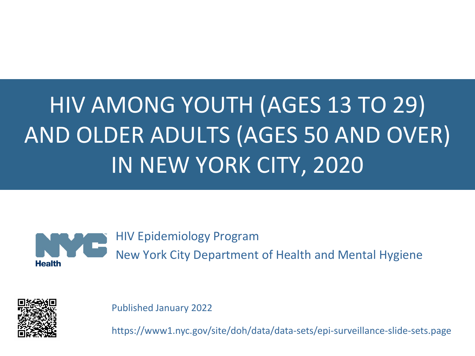# HIV AMONG YOUTH (AGES 13 TO 29) AND OLDER ADULTS (AGES 50 AND OVER) IN NEW YORK CITY, 2020



HIV Epidemiology Program New York City Department of Health and Mental Hygiene



Published January 2022

https://www1.nyc.gov/site/doh/data/data-sets/epi-surveillance-slide-sets.page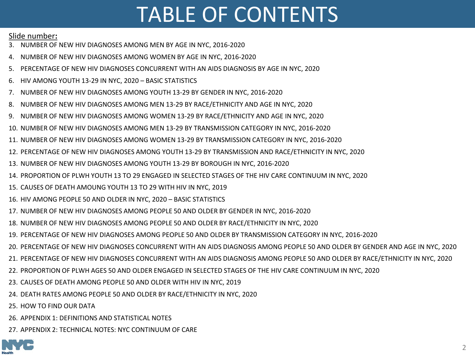# TABLE OF CONTENTS

#### Slide number**:**

- 3. [NUMBER OF NEW HIV DIAGNOSES AMONG MEN BY AGE IN NYC, 2016-2020](#page-2-0)
- 4. [NUMBER OF NEW HIV DIAGNOSES AMONG WOMEN BY AGE IN NYC, 2016-2020](#page-3-0)
- 5. [PERCENTAGE OF NEW HIV DIAGNOSES CONCURRENT WITH AN AIDS DIAGNOSIS BY AGE IN NYC, 2020](#page-4-0)
- 6. [HIV AMONG YOUTH 13-29 IN NYC, 2020 –](#page-5-0) BASIC STATISTICS
- 7. [NUMBER OF NEW HIV DIAGNOSES AMONG YOUTH 13-29 BY GENDER IN NYC, 2016-2020](#page-6-0)
- 8. [NUMBER OF NEW HIV DIAGNOSES AMONG MEN 13-29 BY RACE/ETHNICITY AND AGE IN NYC, 2020](#page-7-0)
- 9. [NUMBER OF NEW HIV DIAGNOSES AMONG WOMEN 13-29 BY RACE/ETHNICITY AND AGE IN NYC, 2020](#page-8-0)
- 10. [NUMBER OF NEW HIV DIAGNOSES AMONG MEN 13-29 BY TRANSMISSION CATEGORY IN NYC, 2016-2020](#page-9-0)
- 11. [NUMBER OF NEW HIV DIAGNOSES AMONG WOMEN 13-29 BY TRANSMISSION CATEGORY IN NYC, 2016-2020](#page-10-0)
- 12. [PERCENTAGE OF NEW HIV DIAGNOSES AMONG YOUTH 13-29 BY TRANSMISSION AND RACE/ETHNICITY IN NYC, 2020](#page-11-0)
- 13. [NUMBER OF NEW HIV DIAGNOSES AMONG YOUTH 13-29 BY BOROUGH IN NYC, 2016-2020](#page-12-0)
- 14. [PROPORTION OF PLWH YOUTH 13 TO 29 ENGAGED IN SELECTED STAGES OF THE HIV CARE CONTINUUM IN NYC, 2020](#page-13-0)
- 15. [CAUSES OF DEATH AMOUNG YOUTH 13 TO 29 WITH HIV IN NYC, 2019](#page-14-0)
- 16. [HIV AMONG PEOPLE 50 AND OLDER IN NYC, 2020 –](#page-15-0) BASIC STATISTICS
- 17. [NUMBER OF NEW HIV DIAGNOSES AMONG PEOPLE 50 AND OLDER BY GENDER IN NYC, 2016-2020](#page-16-0)
- 18. [NUMBER OF NEW HIV DIAGNOSES AMONG PEOPLE 50 AND OLDER BY RACE/ETHNICITY IN NYC, 2020](#page-17-0)
- 19. [PERCENTAGE OF NEW HIV DIAGNOSES AMONG PEOPLE 50 AND OLDER BY TRANSMISSION CATEGORY IN NYC, 2016-2020](#page-18-0)
- 20. [PERCENTAGE OF NEW HIV DIAGNOSES CONCURRENT WITH AN AIDS DIAGNOSIS AMONG PEOPLE 50 AND OLDER BY GENDER AND AGE IN NYC, 2020](#page-19-0)
- 21. [PERCENTAGE OF NEW HIV DIAGNOSES CONCURRENT WITH AN AIDS DIAGNOSIS AMONG PEOPLE 50 AND OLDER BY RACE/ETHNICITY IN NYC, 2020](#page-20-0)
- 22. [PROPORTION OF PLWH AGES 50 AND OLDER ENGAGED IN SELECTED STAGES OF THE HIV CARE CONTINUUM IN NYC, 2020](#page-21-0)
- 23. [CAUSES OF DEATH AMONG PEOPLE 50 AND OLDER WITH HIV IN NYC, 2019](#page-22-0)
- 24. [DEATH RATES AMONG PEOPLE 50 AND OLDER BY RACE/ETHNICITY IN NYC, 2020](#page-23-0)
- 25. [HOW TO FIND OUR DATA](#page-24-0)
- 26. [APPENDIX 1: DEFINITIONS AND STATISTICAL NOTES](#page-25-0)
- 27. [APPENDIX 2: TECHNICAL NOTES: NYC CONTINUUM OF CARE](#page-26-0)

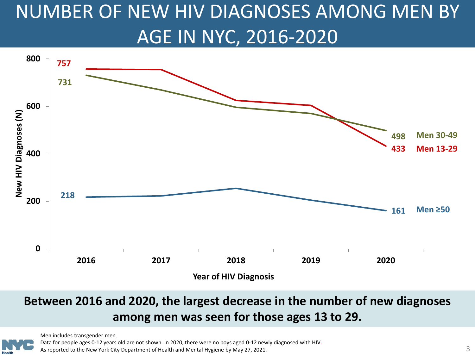# <span id="page-2-0"></span>NUMBER OF NEW HIV DIAGNOSES AMONG MEN BY AGE IN NYC, 2016-2020



#### **Between 2016 and 2020, the largest decrease in the number of new diagnoses among men was seen for those ages 13 to 29.**



Data for people ages 0-12 years old are not shown. In 2020, there were no boys aged 0-12 newly diagnosed with HIV. As reported to the New York City Department of Health and Mental Hygiene by May 27, 2021.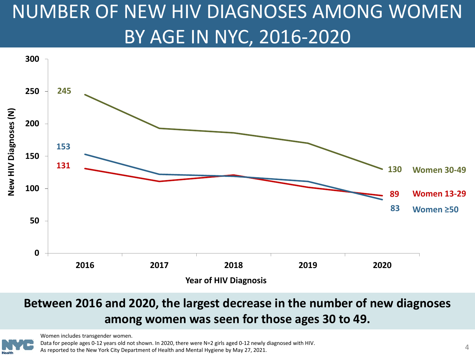# <span id="page-3-0"></span>NUMBER OF NEW HIV DIAGNOSES AMONG WOMEN BY AGE IN NYC, 2016-2020



#### **Between 2016 and 2020, the largest decrease in the number of new diagnoses among women was seen for those ages 30 to 49.**



Women includes transgender women.

Data for people ages 0-12 years old not shown. In 2020, there were N=2 girls aged 0-12 newly diagnosed with HIV.

As reported to the New York City Department of Health and Mental Hygiene by May 27, 2021. 4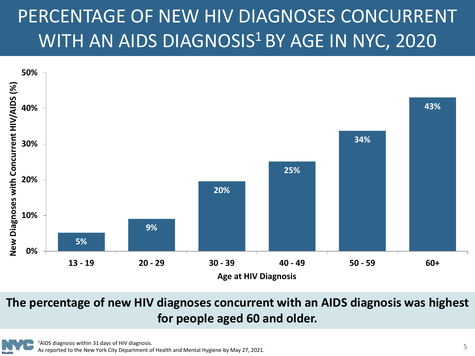## <span id="page-4-0"></span>PERCENTAGE OF NEW HIV DIAGNOSES CONCURRENT WITH AN AIDS DIAGNOSIS<sup>1</sup> BY AGE IN NYC, 2020



**The percentage of new HIV diagnoses concurrent with an AIDS diagnosis was highest for people aged 60 and older.**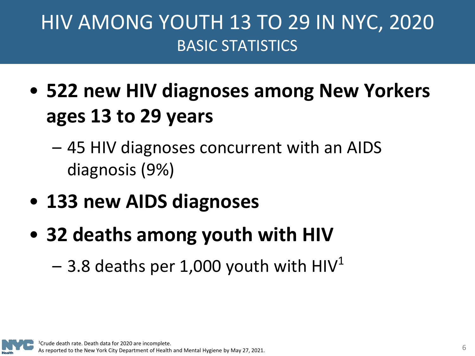### <span id="page-5-0"></span>HIV AMONG YOUTH 13 TO 29 IN NYC, 2020 BASIC STATISTICS

- **522 new HIV diagnoses among New Yorkers ages 13 to 29 years**
	- 45 HIV diagnoses concurrent with an AIDS diagnosis (9%)
- **133 new AIDS diagnoses**
- **32 deaths among youth with HIV** 
	- 3.8 deaths per 1,000 youth with  $HIV<sup>1</sup>$

Crude death rate. Death data for 2020 are incomplete. As reported to the New York City Department of Health and Mental Hygiene by May 27, 2021.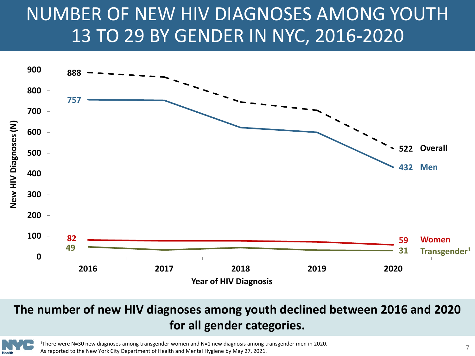### <span id="page-6-0"></span>NUMBER OF NEW HIV DIAGNOSES AMONG YOUTH 13 TO 29 BY GENDER IN NYC, 2016-2020



#### **The number of new HIV diagnoses among youth declined between 2016 and 2020 for all gender categories.**



1There were N=30 new diagnoses among transgender women and N=1 new diagnosis among transgender men in 2020. As reported to the New York City Department of Health and Mental Hygiene by May 27, 2021.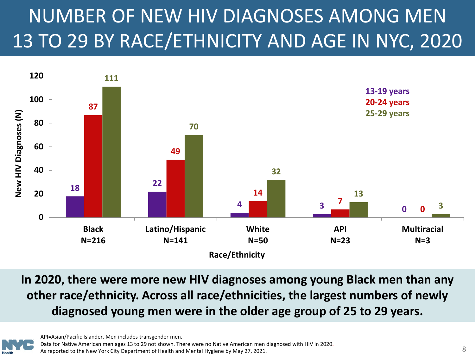# <span id="page-7-0"></span>NUMBER OF NEW HIV DIAGNOSES AMONG MEN 13 TO 29 BY RACE/ETHNICITY AND AGE IN NYC, 2020



**In 2020, there were more new HIV diagnoses among young Black men than any other race/ethnicity. Across all race/ethnicities, the largest numbers of newly diagnosed young men were in the older age group of 25 to 29 years.**

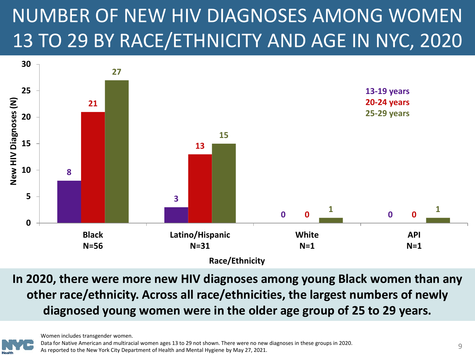# <span id="page-8-0"></span>NUMBER OF NEW HIV DIAGNOSES AMONG WOMEN 13 TO 29 BY RACE/ETHNICITY AND AGE IN NYC, 2020



**In 2020, there were more new HIV diagnoses among young Black women than any other race/ethnicity. Across all race/ethnicities, the largest numbers of newly diagnosed young women were in the older age group of 25 to 29 years.**

Women includes transgender women.

Data for Native American and multiracial women ages 13 to 29 not shown. There were no new diagnoses in these groups in 2020. Data for Native American and multifacial women ages 13 to 29 not shown. There were no new diagnoses in these groups in 2020.<br>As reported to the New York City Department of Health and Mental Hygiene by May 27, 2021.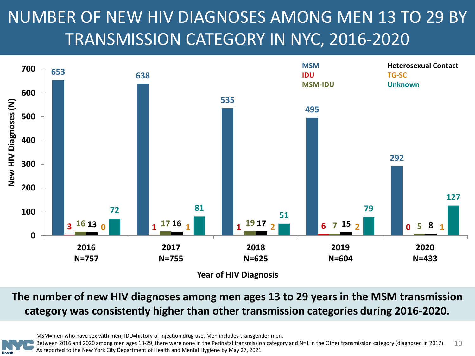### <span id="page-9-0"></span>NUMBER OF NEW HIV DIAGNOSES AMONG MEN 13 TO 29 BY TRANSMISSION CATEGORY IN NYC, 2016-2020



#### **The number of new HIV diagnoses among men ages 13 to 29 years in the MSM transmission category was consistently higher than other transmission categories during 2016-2020.**

MSM=men who have sex with men; IDU=history of injection drug use. Men includes transgender men.

Between 2016 and 2020 among men ages 13-29, there were none in the Perinatal transmission category and N=1 in the Other transmission category (diagnosed in 2017). As reported to the New York City Department of Health and Mental Hygiene by May 27, 2021 10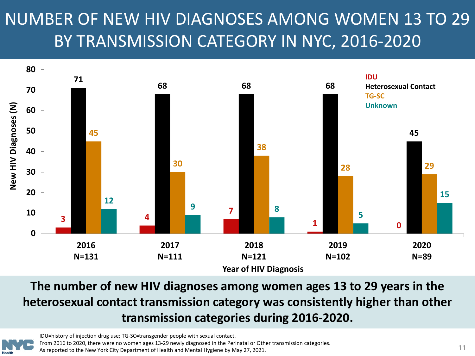### <span id="page-10-0"></span>NUMBER OF NEW HIV DIAGNOSES AMONG WOMEN 13 TO 29 BY TRANSMISSION CATEGORY IN NYC, 2016-2020



**The number of new HIV diagnoses among women ages 13 to 29 years in the heterosexual contact transmission category was consistently higher than other transmission categories during 2016-2020.**



IDU=history of injection drug use; TG-SC=transgender people with sexual contact. From 2016 to 2020, there were no women ages 13-29 newly diagnosed in the Perinatal or Other transmission categories. As reported to the New York City Department of Health and Mental Hygiene by May 27, 2021.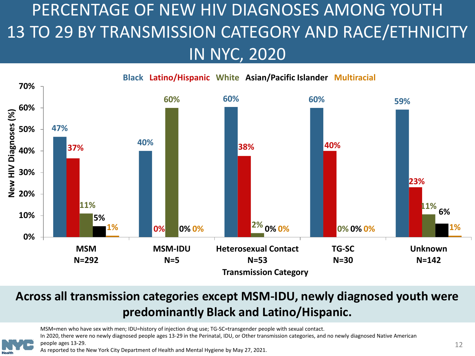### <span id="page-11-0"></span>PERCENTAGE OF NEW HIV DIAGNOSES AMONG YOUTH 13 TO 29 BY TRANSMISSION CATEGORY AND RACE/ETHNICITY IN NYC, 2020



#### **Across all transmission categories except MSM-IDU, newly diagnosed youth were predominantly Black and Latino/Hispanic.**

MSM=men who have sex with men; IDU=history of injection drug use; TG-SC=transgender people with sexual contact.

In 2020, there were no newly diagnosed people ages 13-29 in the Perinatal, IDU, or Other transmission categories, and no newly diagnosed Native American people ages 13-29.

As reported to the New York City Department of Health and Mental Hygiene by May 27, 2021.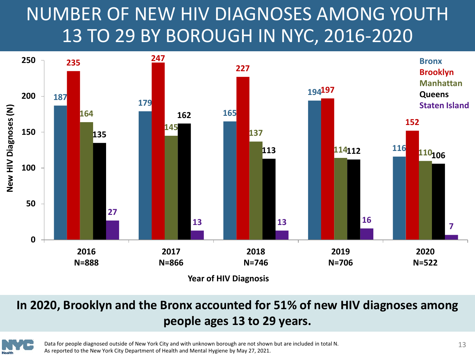### <span id="page-12-0"></span>NUMBER OF NEW HIV DIAGNOSES AMONG YOUTH 13 TO 29 BY BOROUGH IN NYC, 2016-2020



#### **In 2020, Brooklyn and the Bronx accounted for 51% of new HIV diagnoses among people ages 13 to 29 years.**



Data for people diagnosed outside of New York City and with unknown borough are not shown but are included in total N. As reported to the New York City Department of Health and Mental Hygiene by May 27, 2021.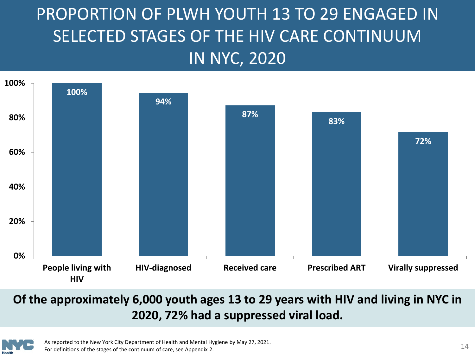### <span id="page-13-0"></span>PROPORTION OF PLWH YOUTH 13 TO 29 ENGAGED IN SELECTED STAGES OF THE HIV CARE CONTINUUM IN NYC, 2020



#### **Of the approximately 6,000 youth ages 13 to 29 years with HIV and living in NYC in 2020, 72% had a suppressed viral load.**



As reported to the New York City Department of Health and Mental Hygiene by May 27, 2021. For definitions of the stages of the continuum of care, see Appendix 2. 14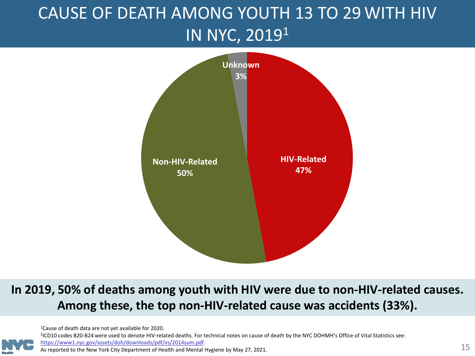### <span id="page-14-0"></span>CAUSE OF DEATH AMONG YOUTH 13 TO 29 WITH HIV IN NYC, 20191



#### **In 2019, 50% of deaths among youth with HIV were due to non-HIV-related causes. Among these, the top non-HIV-related cause was accidents (33%).**

1Cause of death data are not yet available for 2020.

<sup>2</sup>ICD10 codes B20-B24 were used to denote HIV-related deaths. For technical notes on cause of death by the NYC DOHMH's Office of Vital Statistics see: [https://www1.nyc.gov/assets/doh/downloads/pdf/vs/2014sum.pdf.](https://www1.nyc.gov/assets/doh/downloads/pdf/vs/2014sum.pdf)

As reported to the New York City Department of Health and Mental Hygiene by May 27, 2021.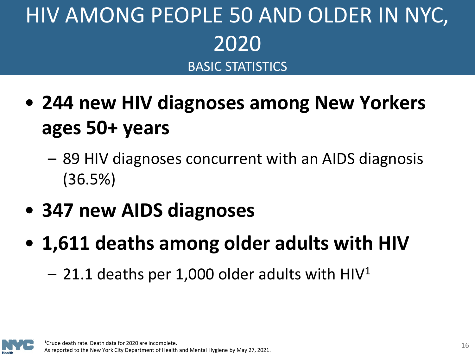# <span id="page-15-0"></span>HIV AMONG PEOPLE 50 AND OLDER IN NYC, 2020 BASIC STATISTICS

- **244 new HIV diagnoses among New Yorkers ages 50+ years** 
	- 89 HIV diagnoses concurrent with an AIDS diagnosis (36.5%)
- **347 new AIDS diagnoses**
- **1,611 deaths among older adults with HIV** 
	- $-$  21.1 deaths per 1,000 older adults with HIV<sup>1</sup>

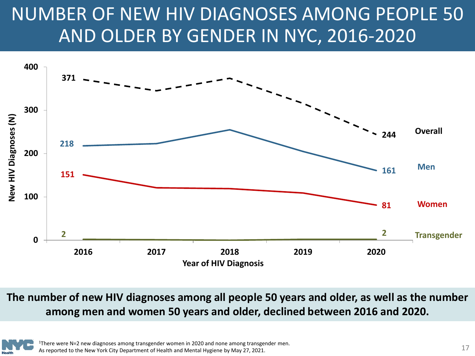## <span id="page-16-0"></span>NUMBER OF NEW HIV DIAGNOSES AMONG PEOPLE 50 AND OLDER BY GENDER IN NYC, 2016-2020



**The number of new HIV diagnoses among all people 50 years and older, as well as the number among men and women 50 years and older, declined between 2016 and 2020.** 

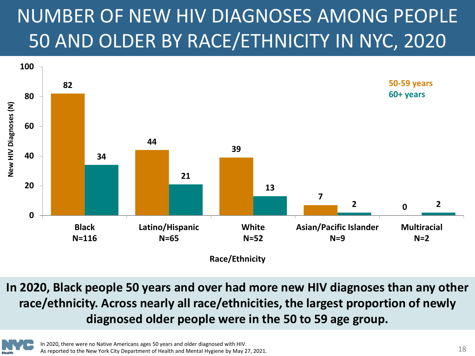# <span id="page-17-0"></span>NUMBER OF NEW HIV DIAGNOSES AMONG PEOPLE 50 AND OLDER BY RACE/ETHNICITY IN NYC, 2020



**In 2020, Black people 50 years and over had more new HIV diagnoses than any other race/ethnicity. Across nearly all race/ethnicities, the largest proportion of newly diagnosed older people were in the 50 to 59 age group.** 

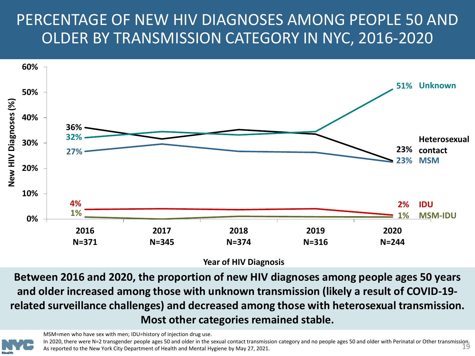#### <span id="page-18-0"></span>PERCENTAGE OF NEW HIV DIAGNOSES AMONG PEOPLE 50 AND OLDER BY TRANSMISSION CATEGORY IN NYC, 2016-2020



**Year of HIV Diagnosis**

**Between 2016 and 2020, the proportion of new HIV diagnoses among people ages 50 years and older increased among those with unknown transmission (likely a result of COVID-19 related surveillance challenges) and decreased among those with heterosexual transmission. Most other categories remained stable.**

MSM=men who have sex with men; IDU=history of injection drug use.

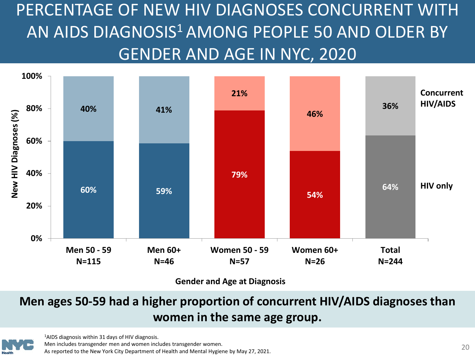<span id="page-19-0"></span>PERCENTAGE OF NEW HIV DIAGNOSES CONCURRENT WITH AN AIDS DIAGNOSIS<sup>1</sup> AMONG PEOPLE 50 AND OLDER BY GENDER AND AGE IN NYC, 2020



**Gender and Age at Diagnosis**

#### **Men ages 50-59 had a higher proportion of concurrent HIV/AIDS diagnoses than women in the same age group.**



1AIDS diagnosis within 31 days of HIV diagnosis. Men includes transgender men and women includes transgender women. As reported to the New York City Department of Health and Mental Hygiene by May 27, 2021.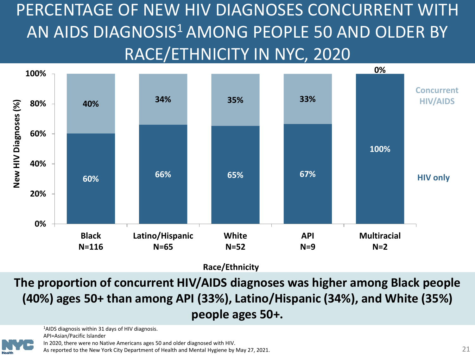<span id="page-20-0"></span>PERCENTAGE OF NEW HIV DIAGNOSES CONCURRENT WITH AN AIDS DIAGNOSIS<sup>1</sup> AMONG PEOPLE 50 AND OLDER BY RACE/ETHNICITY IN NYC, 2020



**Race/Ethnicity**

**The proportion of concurrent HIV/AIDS diagnoses was higher among Black people (40%) ages 50+ than among API (33%), Latino/Hispanic (34%), and White (35%) people ages 50+.**



<sup>1</sup>AIDS diagnosis within 31 days of HIV diagnosis. API=Asian/Pacific Islander

In 2020, there were no Native Americans ages 50 and older diagnosed with HIV.

As reported to the New York City Department of Health and Mental Hygiene by May 27, 2021.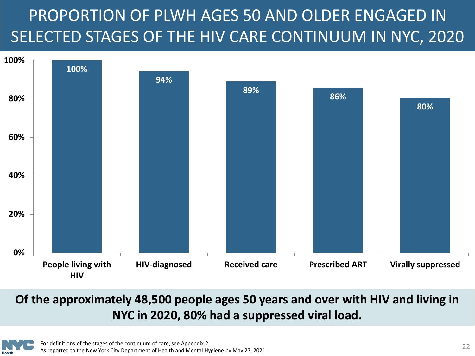### <span id="page-21-0"></span>PROPORTION OF PLWH AGES 50 AND OLDER ENGAGED IN SELECTED STAGES OF THE HIV CARE CONTINUUM IN NYC, 2020



#### **Of the approximately 48,500 people ages 50 years and over with HIV and living in NYC in 2020, 80% had a suppressed viral load.**

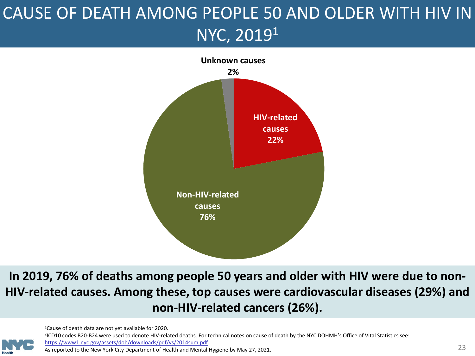### <span id="page-22-0"></span>CAUSE OF DEATH AMONG PEOPLE 50 AND OLDER WITH HIV IN NYC, 20191



**In 2019, 76% of deaths among people 50 years and older with HIV were due to non-HIV-related causes. Among these, top causes were cardiovascular diseases (29%) and non-HIV-related cancers (26%).**

1Cause of death data are not yet available for 2020. <sup>2</sup>ICD10 codes B20-B24 were used to denote HIV-related deaths. For technical notes on cause of death by the NYC DOHMH's Office of Vital Statistics see: <https://www1.nyc.gov/assets/doh/downloads/pdf/vs/2014sum.pdf>. As reported to the New York City Department of Health and Mental Hygiene by May 27, 2021.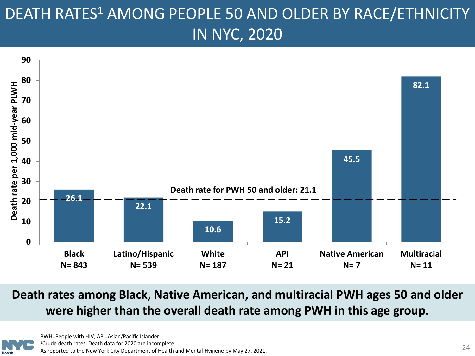#### <span id="page-23-0"></span>DEATH RATES<sup>1</sup> AMONG PEOPLE 50 AND OLDER BY RACE/ETHNICITY IN NYC, 2020



**Death rates among Black, Native American, and multiracial PWH ages 50 and older were higher than the overall death rate among PWH in this age group.**

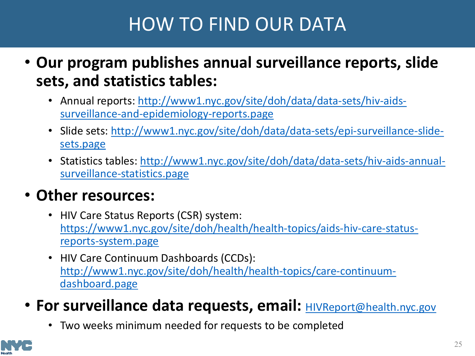### HOW TO FIND OUR DATA

- <span id="page-24-0"></span>• **Our program publishes annual surveillance reports, slide sets, and statistics tables:**
	- [Annual reports: http://www1.nyc.gov/site/doh/data/data-sets/hiv-aids](http://www1.nyc.gov/site/doh/data/data-sets/hiv-aids-surveillance-and-epidemiology-reports.page)surveillance-and-epidemiology-reports.page
	- [Slide sets: http://www1.nyc.gov/site/doh/data/data-sets/epi-surveillance-slide](http://www1.nyc.gov/site/doh/data/data-sets/epi-surveillance-slide-sets.page)sets.page
	- [Statistics tables: http://www1.nyc.gov/site/doh/data/data-sets/hiv-aids-annual](http://www1.nyc.gov/site/doh/data/data-sets/hiv-aids-annual-surveillance-statistics.page)surveillance-statistics.page

#### • **Other resources:**

- HIV Care Status Reports (CSR) system: [https://www1.nyc.gov/site/doh/health/health-topics/aids-hiv-care-status](https://www1.nyc.gov/site/doh/health/health-topics/aids-hiv-care-status-reports-system.page)reports-system.page
- HIV Care Continuum Dashboards (CCDs): [http://www1.nyc.gov/site/doh/health/health-topics/care-continuum](http://www1.nyc.gov/site/doh/health/health-topics/care-continuum-dashboard.page)dashboard.page
- For surveillance data requests, email: **[HIVReport@health.nyc.gov](mailto:HIVReport@health.nyc.gov)** 
	- Two weeks minimum needed for requests to be completed

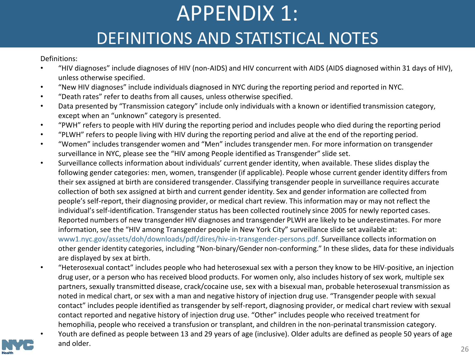# APPENDIX 1:

#### DEFINITIONS AND STATISTICAL NOTES

<span id="page-25-0"></span>Definitions:

- "HIV diagnoses" include diagnoses of HIV (non-AIDS) and HIV concurrent with AIDS (AIDS diagnosed within 31 days of HIV), unless otherwise specified.
- "New HIV diagnoses" include individuals diagnosed in NYC during the reporting period and reported in NYC.
- "Death rates" refer to deaths from all causes, unless otherwise specified.
- Data presented by "Transmission category" include only individuals with a known or identified transmission category, except when an "unknown" category is presented.
- "PWH" refers to people with HIV during the reporting period and includes people who died during the reporting period
- "PLWH" refers to people living with HIV during the reporting period and alive at the end of the reporting period.
- "Women" includes transgender women and "Men" includes transgender men. For more information on transgender surveillance in NYC, please see the "HIV among People identified as Transgender" slide set.
- Surveillance collects information about individuals' current gender identity, when available. These slides display the following gender categories: men, women, transgender (if applicable). People whose current gender identity differs from their sex assigned at birth are considered transgender. Classifying transgender people in surveillance requires accurate collection of both sex assigned at birth and current gender identity. Sex and gender information are collected from people's self-report, their diagnosing provider, or medical chart review. This information may or may not reflect the individual's self-identification. Transgender status has been collected routinely since 2005 for newly reported cases. Reported numbers of new transgender HIV diagnoses and transgender PLWH are likely to be underestimates. For more information, see the "HIV among Transgender people in New York City" surveillance slide set available at: www1.nyc.gov/assets/doh/downloads/pdf/dires/hiv-in-transgender-persons.pdf. Surveillance collects information on other gender identity categories, including "Non-binary/Gender non-conforming." In these slides, data for these individuals are displayed by sex at birth.
- "Heterosexual contact" includes people who had heterosexual sex with a person they know to be HIV-positive, an injection drug user, or a person who has received blood products. For women only, also includes history of sex work, multiple sex partners, sexually transmitted disease, crack/cocaine use, sex with a bisexual man, probable heterosexual transmission as noted in medical chart, or sex with a man and negative history of injection drug use. "Transgender people with sexual contact" includes people identified as transgender by self-report, diagnosing provider, or medical chart review with sexual contact reported and negative history of injection drug use. "Other" includes people who received treatment for hemophilia, people who received a transfusion or transplant, and children in the non-perinatal transmission category.
- Youth are defined as people between 13 and 29 years of age (inclusive). Older adults are defined as people 50 years of age and older.